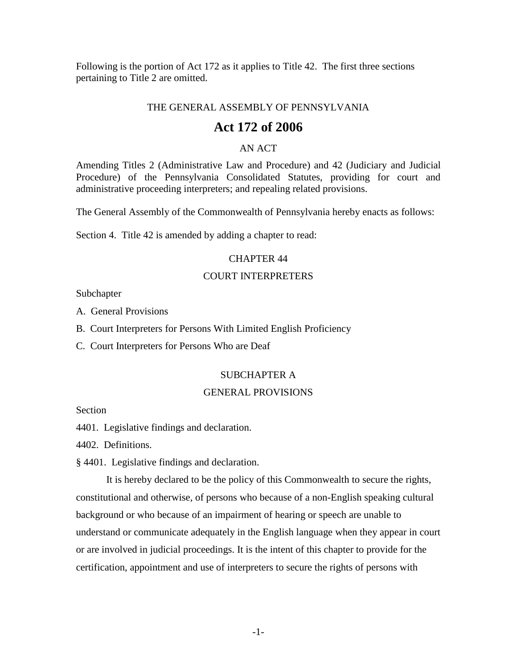Following is the portion of Act 172 as it applies to Title 42. The first three sections pertaining to Title 2 are omitted.

### THE GENERAL ASSEMBLY OF PENNSYLVANIA

# **Act 172 of 2006**

### AN ACT

Amending Titles 2 (Administrative Law and Procedure) and 42 (Judiciary and Judicial Procedure) of the Pennsylvania Consolidated Statutes, providing for court and administrative proceeding interpreters; and repealing related provisions.

The General Assembly of the Commonwealth of Pennsylvania hereby enacts as follows:

Section 4. Title 42 is amended by adding a chapter to read:

### CHAPTER 44

# COURT INTERPRETERS

Subchapter

A. General Provisions

B. Court Interpreters for Persons With Limited English Proficiency

C. Court Interpreters for Persons Who are Deaf

### SUBCHAPTER A

### GENERAL PROVISIONS

Section

4401. Legislative findings and declaration.

4402. Definitions.

§ 4401. Legislative findings and declaration.

It is hereby declared to be the policy of this Commonwealth to secure the rights, constitutional and otherwise, of persons who because of a non-English speaking cultural background or who because of an impairment of hearing or speech are unable to understand or communicate adequately in the English language when they appear in court or are involved in judicial proceedings. It is the intent of this chapter to provide for the certification, appointment and use of interpreters to secure the rights of persons with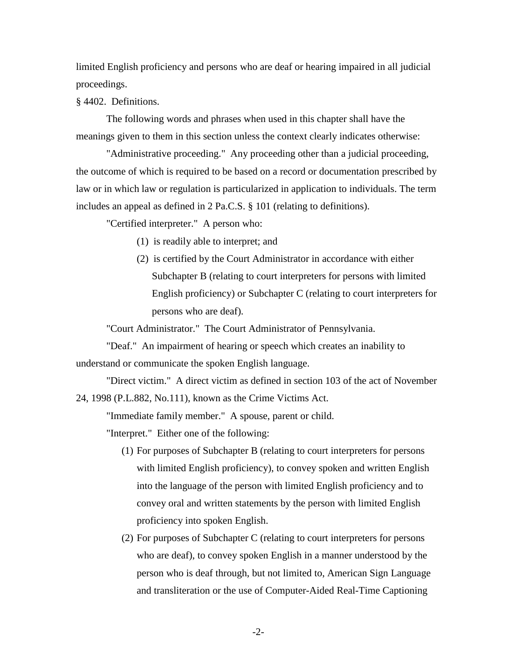limited English proficiency and persons who are deaf or hearing impaired in all judicial proceedings.

§ 4402. Definitions.

The following words and phrases when used in this chapter shall have the meanings given to them in this section unless the context clearly indicates otherwise:

"Administrative proceeding." Any proceeding other than a judicial proceeding, the outcome of which is required to be based on a record or documentation prescribed by law or in which law or regulation is particularized in application to individuals. The term includes an appeal as defined in 2 Pa.C.S. § 101 (relating to definitions).

"Certified interpreter." A person who:

- (1) is readily able to interpret; and
- (2) is certified by the Court Administrator in accordance with either Subchapter B (relating to court interpreters for persons with limited English proficiency) or Subchapter C (relating to court interpreters for persons who are deaf).

"Court Administrator." The Court Administrator of Pennsylvania.

"Deaf." An impairment of hearing or speech which creates an inability to understand or communicate the spoken English language.

"Direct victim." A direct victim as defined in section 103 of the act of November 24, 1998 (P.L.882, No.111), known as the Crime Victims Act.

"Immediate family member." A spouse, parent or child.

"Interpret." Either one of the following:

- (1) For purposes of Subchapter B (relating to court interpreters for persons with limited English proficiency), to convey spoken and written English into the language of the person with limited English proficiency and to convey oral and written statements by the person with limited English proficiency into spoken English.
- (2) For purposes of Subchapter C (relating to court interpreters for persons who are deaf), to convey spoken English in a manner understood by the person who is deaf through, but not limited to, American Sign Language and transliteration or the use of Computer-Aided Real-Time Captioning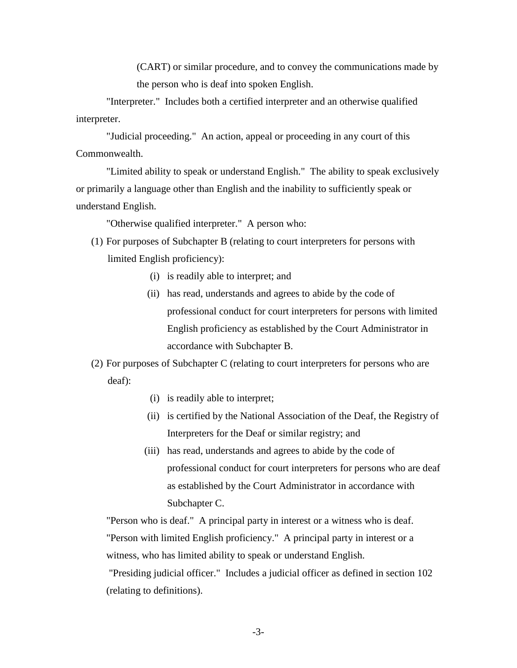(CART) or similar procedure, and to convey the communications made by the person who is deaf into spoken English.

"Interpreter." Includes both a certified interpreter and an otherwise qualified interpreter.

"Judicial proceeding." An action, appeal or proceeding in any court of this Commonwealth.

"Limited ability to speak or understand English." The ability to speak exclusively or primarily a language other than English and the inability to sufficiently speak or understand English.

"Otherwise qualified interpreter." A person who:

- (1) For purposes of Subchapter B (relating to court interpreters for persons with limited English proficiency):
	- (i) is readily able to interpret; and
	- (ii) has read, understands and agrees to abide by the code of professional conduct for court interpreters for persons with limited English proficiency as established by the Court Administrator in accordance with Subchapter B.

(2) For purposes of Subchapter C (relating to court interpreters for persons who are deaf):

- (i) is readily able to interpret;
- (ii) is certified by the National Association of the Deaf, the Registry of Interpreters for the Deaf or similar registry; and
- (iii) has read, understands and agrees to abide by the code of professional conduct for court interpreters for persons who are deaf as established by the Court Administrator in accordance with Subchapter C.

"Person who is deaf." A principal party in interest or a witness who is deaf. "Person with limited English proficiency." A principal party in interest or a witness, who has limited ability to speak or understand English.

"Presiding judicial officer." Includes a judicial officer as defined in section 102 (relating to definitions).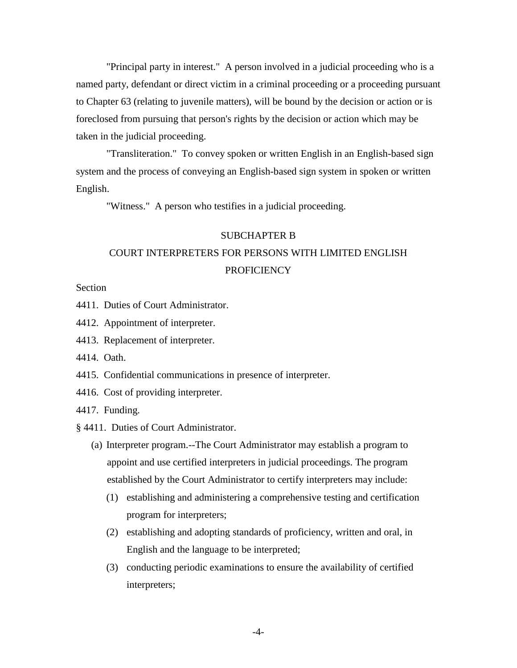"Principal party in interest." A person involved in a judicial proceeding who is a named party, defendant or direct victim in a criminal proceeding or a proceeding pursuant to Chapter 63 (relating to juvenile matters), will be bound by the decision or action or is foreclosed from pursuing that person's rights by the decision or action which may be taken in the judicial proceeding.

"Transliteration." To convey spoken or written English in an English-based sign system and the process of conveying an English-based sign system in spoken or written English.

"Witness." A person who testifies in a judicial proceeding.

### SUBCHAPTER B

# COURT INTERPRETERS FOR PERSONS WITH LIMITED ENGLISH **PROFICIENCY**

**Section** 

- 4411. Duties of Court Administrator.
- 4412. Appointment of interpreter.
- 4413. Replacement of interpreter.
- 4414. Oath.
- 4415. Confidential communications in presence of interpreter.
- 4416. Cost of providing interpreter.

4417. Funding.

- § 4411. Duties of Court Administrator.
	- (a) Interpreter program.--The Court Administrator may establish a program to appoint and use certified interpreters in judicial proceedings. The program established by the Court Administrator to certify interpreters may include:
		- (1) establishing and administering a comprehensive testing and certification program for interpreters;
		- (2) establishing and adopting standards of proficiency, written and oral, in English and the language to be interpreted;
		- (3) conducting periodic examinations to ensure the availability of certified interpreters;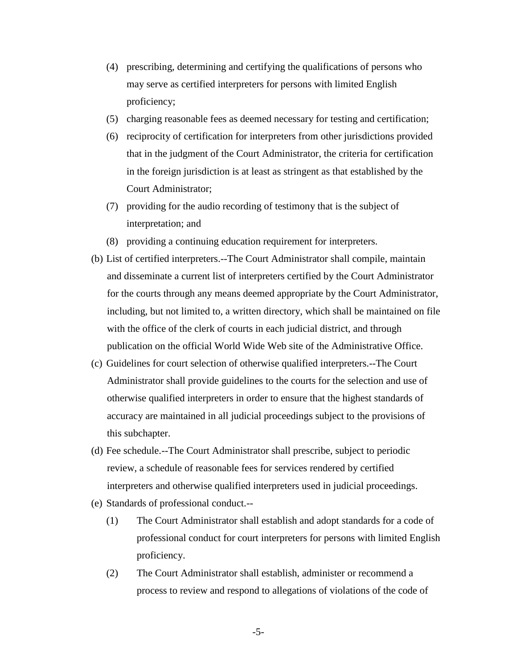- (4) prescribing, determining and certifying the qualifications of persons who may serve as certified interpreters for persons with limited English proficiency;
- (5) charging reasonable fees as deemed necessary for testing and certification;
- (6) reciprocity of certification for interpreters from other jurisdictions provided that in the judgment of the Court Administrator, the criteria for certification in the foreign jurisdiction is at least as stringent as that established by the Court Administrator;
- (7) providing for the audio recording of testimony that is the subject of interpretation; and
- (8) providing a continuing education requirement for interpreters.
- (b) List of certified interpreters.--The Court Administrator shall compile, maintain and disseminate a current list of interpreters certified by the Court Administrator for the courts through any means deemed appropriate by the Court Administrator, including, but not limited to, a written directory, which shall be maintained on file with the office of the clerk of courts in each judicial district, and through publication on the official World Wide Web site of the Administrative Office.
- (c) Guidelines for court selection of otherwise qualified interpreters.--The Court Administrator shall provide guidelines to the courts for the selection and use of otherwise qualified interpreters in order to ensure that the highest standards of accuracy are maintained in all judicial proceedings subject to the provisions of this subchapter.
- (d) Fee schedule.--The Court Administrator shall prescribe, subject to periodic review, a schedule of reasonable fees for services rendered by certified interpreters and otherwise qualified interpreters used in judicial proceedings.
- (e) Standards of professional conduct.--
	- (1) The Court Administrator shall establish and adopt standards for a code of professional conduct for court interpreters for persons with limited English proficiency.
	- (2) The Court Administrator shall establish, administer or recommend a process to review and respond to allegations of violations of the code of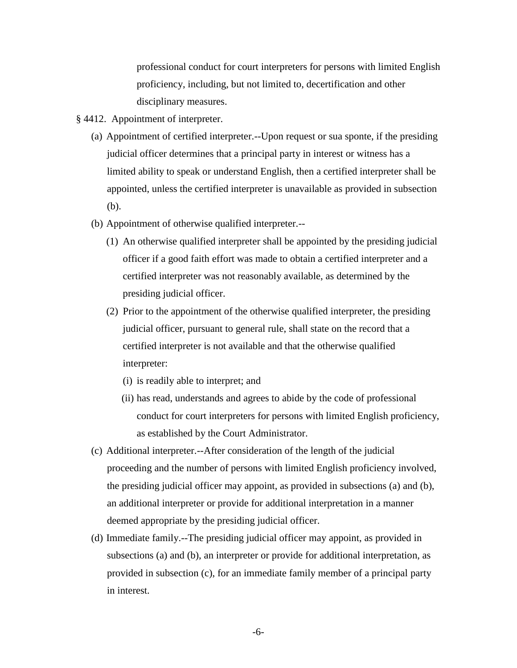professional conduct for court interpreters for persons with limited English proficiency, including, but not limited to, decertification and other disciplinary measures.

- § 4412. Appointment of interpreter.
	- (a) Appointment of certified interpreter.--Upon request or sua sponte, if the presiding judicial officer determines that a principal party in interest or witness has a limited ability to speak or understand English, then a certified interpreter shall be appointed, unless the certified interpreter is unavailable as provided in subsection (b).
	- (b) Appointment of otherwise qualified interpreter.--
		- (1) An otherwise qualified interpreter shall be appointed by the presiding judicial officer if a good faith effort was made to obtain a certified interpreter and a certified interpreter was not reasonably available, as determined by the presiding judicial officer.
		- (2) Prior to the appointment of the otherwise qualified interpreter, the presiding judicial officer, pursuant to general rule, shall state on the record that a certified interpreter is not available and that the otherwise qualified interpreter:
			- (i) is readily able to interpret; and
			- (ii) has read, understands and agrees to abide by the code of professional conduct for court interpreters for persons with limited English proficiency, as established by the Court Administrator.
	- (c) Additional interpreter.--After consideration of the length of the judicial proceeding and the number of persons with limited English proficiency involved, the presiding judicial officer may appoint, as provided in subsections (a) and (b), an additional interpreter or provide for additional interpretation in a manner deemed appropriate by the presiding judicial officer.
	- (d) Immediate family.--The presiding judicial officer may appoint, as provided in subsections (a) and (b), an interpreter or provide for additional interpretation, as provided in subsection (c), for an immediate family member of a principal party in interest.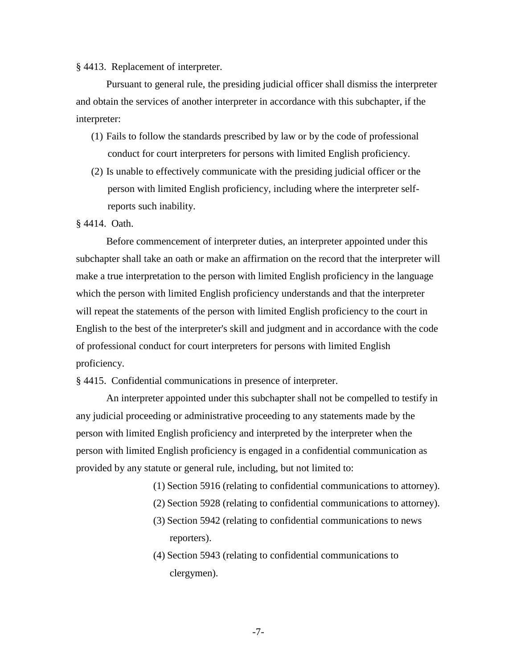### § 4413. Replacement of interpreter.

Pursuant to general rule, the presiding judicial officer shall dismiss the interpreter and obtain the services of another interpreter in accordance with this subchapter, if the interpreter:

- (1) Fails to follow the standards prescribed by law or by the code of professional conduct for court interpreters for persons with limited English proficiency.
- (2) Is unable to effectively communicate with the presiding judicial officer or the person with limited English proficiency, including where the interpreter selfreports such inability.

# § 4414. Oath.

Before commencement of interpreter duties, an interpreter appointed under this subchapter shall take an oath or make an affirmation on the record that the interpreter will make a true interpretation to the person with limited English proficiency in the language which the person with limited English proficiency understands and that the interpreter will repeat the statements of the person with limited English proficiency to the court in English to the best of the interpreter's skill and judgment and in accordance with the code of professional conduct for court interpreters for persons with limited English proficiency.

§ 4415. Confidential communications in presence of interpreter.

An interpreter appointed under this subchapter shall not be compelled to testify in any judicial proceeding or administrative proceeding to any statements made by the person with limited English proficiency and interpreted by the interpreter when the person with limited English proficiency is engaged in a confidential communication as provided by any statute or general rule, including, but not limited to:

- (1) Section 5916 (relating to confidential communications to attorney).
- (2) Section 5928 (relating to confidential communications to attorney).
- (3) Section 5942 (relating to confidential communications to news reporters).
- (4) Section 5943 (relating to confidential communications to clergymen).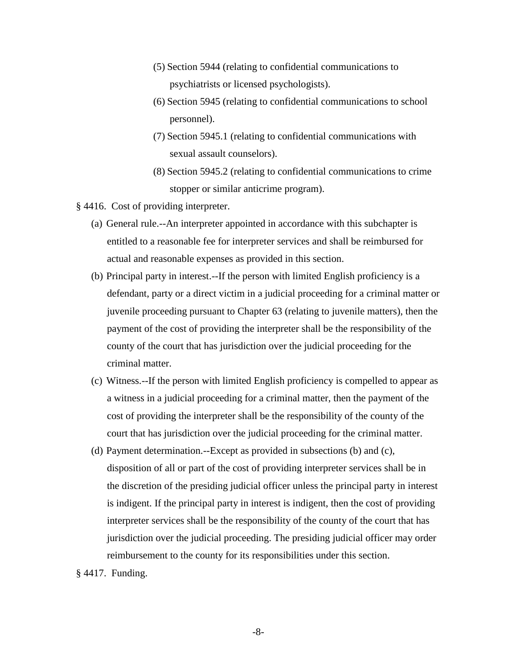- (5) Section 5944 (relating to confidential communications to psychiatrists or licensed psychologists).
- (6) Section 5945 (relating to confidential communications to school personnel).
- (7) Section 5945.1 (relating to confidential communications with sexual assault counselors).
- (8) Section 5945.2 (relating to confidential communications to crime stopper or similar anticrime program).
- § 4416. Cost of providing interpreter.
	- (a) General rule.--An interpreter appointed in accordance with this subchapter is entitled to a reasonable fee for interpreter services and shall be reimbursed for actual and reasonable expenses as provided in this section.
	- (b) Principal party in interest.--If the person with limited English proficiency is a defendant, party or a direct victim in a judicial proceeding for a criminal matter or juvenile proceeding pursuant to Chapter 63 (relating to juvenile matters), then the payment of the cost of providing the interpreter shall be the responsibility of the county of the court that has jurisdiction over the judicial proceeding for the criminal matter.
	- (c) Witness.--If the person with limited English proficiency is compelled to appear as a witness in a judicial proceeding for a criminal matter, then the payment of the cost of providing the interpreter shall be the responsibility of the county of the court that has jurisdiction over the judicial proceeding for the criminal matter.
	- (d) Payment determination.--Except as provided in subsections (b) and (c), disposition of all or part of the cost of providing interpreter services shall be in the discretion of the presiding judicial officer unless the principal party in interest is indigent. If the principal party in interest is indigent, then the cost of providing interpreter services shall be the responsibility of the county of the court that has jurisdiction over the judicial proceeding. The presiding judicial officer may order reimbursement to the county for its responsibilities under this section.
- § 4417. Funding.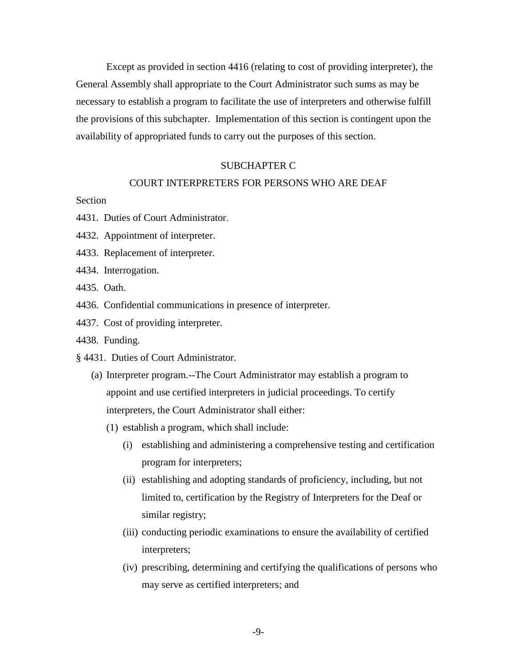Except as provided in section 4416 (relating to cost of providing interpreter), the General Assembly shall appropriate to the Court Administrator such sums as may be necessary to establish a program to facilitate the use of interpreters and otherwise fulfill the provisions of this subchapter. Implementation of this section is contingent upon the availability of appropriated funds to carry out the purposes of this section.

### SUBCHAPTER C

### COURT INTERPRETERS FOR PERSONS WHO ARE DEAF

# **Section**

- 4431. Duties of Court Administrator.
- 4432. Appointment of interpreter.
- 4433. Replacement of interpreter.
- 4434. Interrogation.
- 4435. Oath.
- 4436. Confidential communications in presence of interpreter.
- 4437. Cost of providing interpreter.
- 4438. Funding.
- § 4431. Duties of Court Administrator.
	- (a) Interpreter program.--The Court Administrator may establish a program to appoint and use certified interpreters in judicial proceedings. To certify interpreters, the Court Administrator shall either:
		- (1) establish a program, which shall include:
			- (i) establishing and administering a comprehensive testing and certification program for interpreters;
			- (ii) establishing and adopting standards of proficiency, including, but not limited to, certification by the Registry of Interpreters for the Deaf or similar registry;
			- (iii) conducting periodic examinations to ensure the availability of certified interpreters;
			- (iv) prescribing, determining and certifying the qualifications of persons who may serve as certified interpreters; and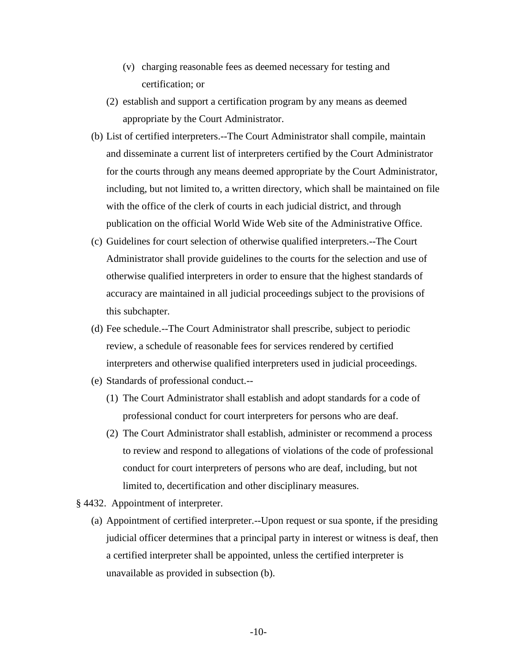- (v) charging reasonable fees as deemed necessary for testing and certification; or
- (2) establish and support a certification program by any means as deemed appropriate by the Court Administrator.
- (b) List of certified interpreters.--The Court Administrator shall compile, maintain and disseminate a current list of interpreters certified by the Court Administrator for the courts through any means deemed appropriate by the Court Administrator, including, but not limited to, a written directory, which shall be maintained on file with the office of the clerk of courts in each judicial district, and through publication on the official World Wide Web site of the Administrative Office.
- (c) Guidelines for court selection of otherwise qualified interpreters.--The Court Administrator shall provide guidelines to the courts for the selection and use of otherwise qualified interpreters in order to ensure that the highest standards of accuracy are maintained in all judicial proceedings subject to the provisions of this subchapter.
- (d) Fee schedule.--The Court Administrator shall prescribe, subject to periodic review, a schedule of reasonable fees for services rendered by certified interpreters and otherwise qualified interpreters used in judicial proceedings.
- (e) Standards of professional conduct.--
	- (1) The Court Administrator shall establish and adopt standards for a code of professional conduct for court interpreters for persons who are deaf.
	- (2) The Court Administrator shall establish, administer or recommend a process to review and respond to allegations of violations of the code of professional conduct for court interpreters of persons who are deaf, including, but not limited to, decertification and other disciplinary measures.
- § 4432. Appointment of interpreter.
	- (a) Appointment of certified interpreter.--Upon request or sua sponte, if the presiding judicial officer determines that a principal party in interest or witness is deaf, then a certified interpreter shall be appointed, unless the certified interpreter is unavailable as provided in subsection (b).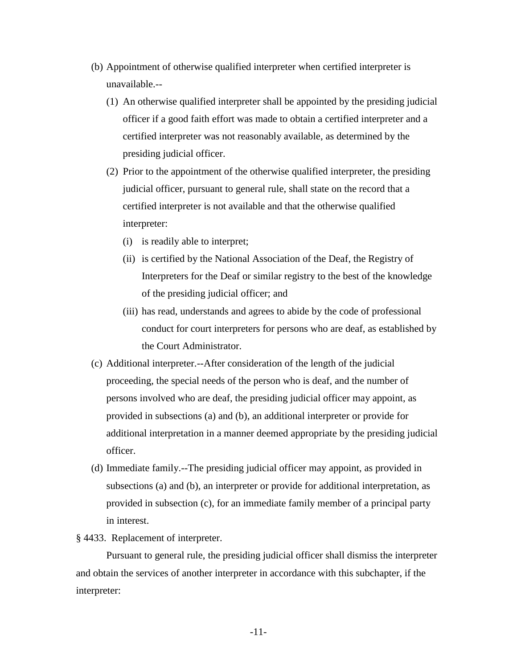- (b) Appointment of otherwise qualified interpreter when certified interpreter is unavailable.--
	- (1) An otherwise qualified interpreter shall be appointed by the presiding judicial officer if a good faith effort was made to obtain a certified interpreter and a certified interpreter was not reasonably available, as determined by the presiding judicial officer.
	- (2) Prior to the appointment of the otherwise qualified interpreter, the presiding judicial officer, pursuant to general rule, shall state on the record that a certified interpreter is not available and that the otherwise qualified interpreter:
		- (i) is readily able to interpret;
		- (ii) is certified by the National Association of the Deaf, the Registry of Interpreters for the Deaf or similar registry to the best of the knowledge of the presiding judicial officer; and
		- (iii) has read, understands and agrees to abide by the code of professional conduct for court interpreters for persons who are deaf, as established by the Court Administrator.
- (c) Additional interpreter.--After consideration of the length of the judicial proceeding, the special needs of the person who is deaf, and the number of persons involved who are deaf, the presiding judicial officer may appoint, as provided in subsections (a) and (b), an additional interpreter or provide for additional interpretation in a manner deemed appropriate by the presiding judicial officer.
- (d) Immediate family.--The presiding judicial officer may appoint, as provided in subsections (a) and (b), an interpreter or provide for additional interpretation, as provided in subsection (c), for an immediate family member of a principal party in interest.

# § 4433. Replacement of interpreter.

Pursuant to general rule, the presiding judicial officer shall dismiss the interpreter and obtain the services of another interpreter in accordance with this subchapter, if the interpreter: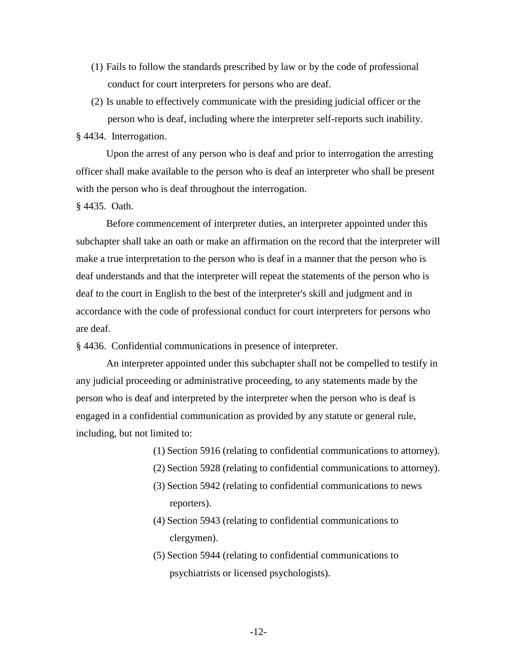- (1) Fails to follow the standards prescribed by law or by the code of professional conduct for court interpreters for persons who are deaf.
- (2) Is unable to effectively communicate with the presiding judicial officer or the person who is deaf, including where the interpreter self-reports such inability.

§ 4434. Interrogation.

Upon the arrest of any person who is deaf and prior to interrogation the arresting officer shall make available to the person who is deaf an interpreter who shall be present with the person who is deaf throughout the interrogation.

§ 4435. Oath.

Before commencement of interpreter duties, an interpreter appointed under this subchapter shall take an oath or make an affirmation on the record that the interpreter will make a true interpretation to the person who is deaf in a manner that the person who is deaf understands and that the interpreter will repeat the statements of the person who is deaf to the court in English to the best of the interpreter's skill and judgment and in accordance with the code of professional conduct for court interpreters for persons who are deaf.

§ 4436. Confidential communications in presence of interpreter.

An interpreter appointed under this subchapter shall not be compelled to testify in any judicial proceeding or administrative proceeding, to any statements made by the person who is deaf and interpreted by the interpreter when the person who is deaf is engaged in a confidential communication as provided by any statute or general rule, including, but not limited to:

- (1) Section 5916 (relating to confidential communications to attorney).
- (2) Section 5928 (relating to confidential communications to attorney).
- (3) Section 5942 (relating to confidential communications to news reporters).
- (4) Section 5943 (relating to confidential communications to clergymen).
- (5) Section 5944 (relating to confidential communications to psychiatrists or licensed psychologists).